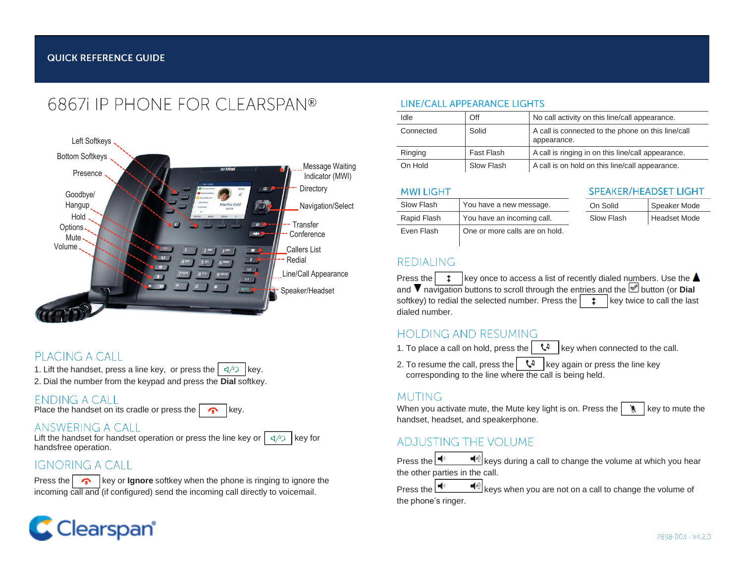# 68671 IP PHONE FOR CI FARSPAN®



### PLACING A CALL

- 1. Lift the handset, press a line key, or press the  $\frac{d}{2}$  key.
- 2. Dial the number from the keypad and press the **Dial** softkey.

### **ENDING A CALL**

### ANSWERING A CALL

Lift the handset for handset operation or press the line key or  $\sqrt{ }$  $C/D$ key for handsfree operation.

### **IGNORING A CALL**

**Press the key or <b>Ignore** softkey when the phone is ringing to ignore the incoming call and (if configured) send the incoming call directly to voicemail. Press the Press the

### LINE/CALL APPEARANCE LIGHTS

| Idle      | Off        | No call activity on this line/call appearance.                    |
|-----------|------------|-------------------------------------------------------------------|
| Connected | Solid      | A call is connected to the phone on this line/call<br>appearance. |
| Ringing   | Fast Flash | A call is ringing in on this line/call appearance.                |
| On Hold   | Slow Flash | A call is on hold on this line/call appearance.                   |

#### **MWI LIGHT**

| Slow Flash  | You have a new message.        |
|-------------|--------------------------------|
| Rapid Flash | You have an incoming call.     |
| Even Flash  | One or more calls are on hold. |

#### **SPEAKER/HEADSET LIGHT**

| On Solid   | Speaker Mode |
|------------|--------------|
| Slow Flash | Headset Mode |

### **REDIALING**

Press the  $\begin{array}{c|c} \star & \star \end{array}$  key once to access a list of recently dialed numbers. Use the  $\blacktriangle$ and  $\nabla$  navigation buttons to scroll through the entries and the  $\triangle$  button (or **Dial** softkey) to redial the selected number. Press the key twice to call the last dialed number.

### **HOLDING AND RESUMING**

- 1. To place a call on hold, press the  $\left|\begin{array}{c} \sqrt{4} \\ \sqrt{4} \end{array}\right|$  key when connected to the call.
- 2. To resume the call, press the  $\left|\begin{array}{c} \sqrt{u} \\ \sqrt{u} \end{array}\right|$  key again or press the line key corresponding to the line where the call is being held.

### **MUTING**

Place the handset on its cradle or press the **key.** Key. Key and the Mute with the Mute key light is on. Press the  $\setminus$  key to mute the handset, headset, and speakerphone.

## **ADJUSTING THE VOLUME**

Press the  $\left|\stackrel{\blacktriangleleft}{\bullet}\right\rangle$  keys during a call to change the volume at which you hear the other parties in the call.

the phone's ringer.  $\ket{\bullet}$  keys when you are not on a call to change the volume of

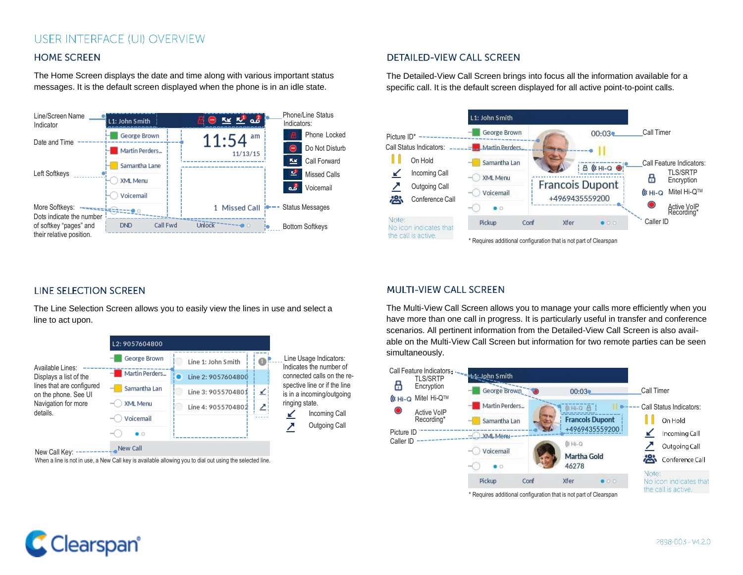### USER INTERFACE (UI) OVERVIEW

#### **HOME SCREEN**

The Home Screen displays the date and time along with various important status messages. It is the default screen displayed when the phone is in an idle state.



#### **DETAILED-VIEW CALL SCREEN**

The Detailed-View Call Screen brings into focus all the information available for a specific call. It is the default screen displayed for all active point-to-point calls.



#### **LINE SELECTION SCREEN**

The Line Selection Screen allows you to easily view the lines in use and select a line to act upon.



#### **MULTI-VIEW CALL SCREEN**

The Multi-View Call Screen allows you to manage your calls more efficiently when you have more than one call in progress. It is particularly useful in transfer and conference scenarios. All pertinent information from the Detailed-View Call Screen is also available on the Multi-View Call Screen but information for two remote parties can be seen simultaneously.





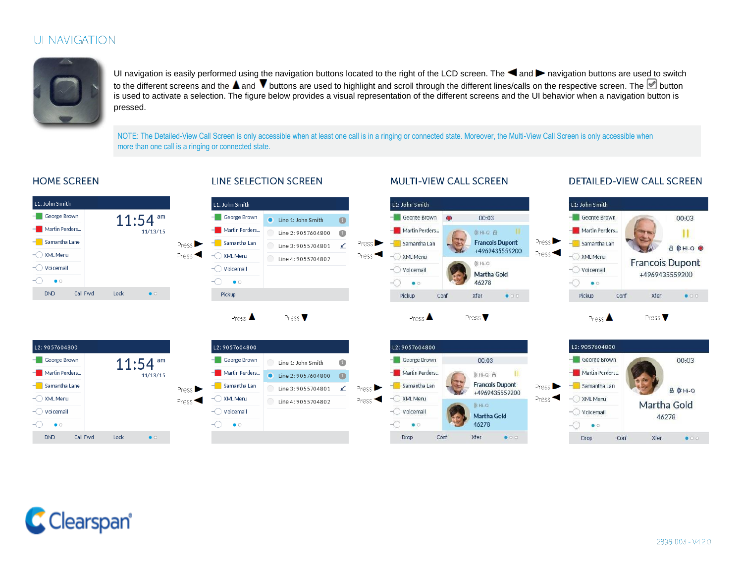### UI NAVIGATION



UI navigation is easily performed using the navigation buttons located to the right of the LCD screen. The  $\blacktriangleleft$  and  $\blacktriangleright$  navigation buttons are used to switch to the different screens and the  $\blacktriangle$  and  $\blacktriangledown$  buttons are used to highlight and scroll through the different lines/calls on the respective screen. The  $\heartsuit$  button is used to activate a selection. The figure below provides a visual representation of the different screens and the UI behavior when a navigation button is pressed.

NOTE: The Detailed-View Call Screen is only accessible when at least one call is in a ringing or connected state. Moreover, the Multi-View Call Screen is only accessible when more than one call is a ringing or connected state.

#### **HOME SCREEN**

#### **LINE SELECTION SCREEN**

#### **MULTI-VIEW CALL SCREEN**

#### **DETAILED-VIEW CALL SCREEN**